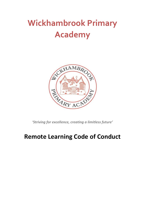# **Wickhambrook Primary Academy**



*'Striving for excellence, creating a limitless future'* 

## **Remote Learning Code of Conduct**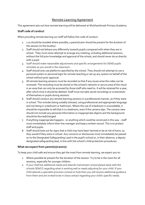### Remote Learning Agreement

This agreement sets out how remote learning will be delivered at Wickhambrook Primary Academy.

#### **Staff code of conduct**

When providing remote learning our staff will follow this code of conduct:

- 1. 1:1s should be avoided where possible; a parent/carer should be present for the duration of the session (in the locality).
- 2. Staff should not behave any differently towards pupils compared with when they are in school. They must never attempt to arrange any meeting, including additional sessions, without the full prior knowledge and approval of the school, and should never do so directly with a pupil.
- 3. Staff should make reasonable adjustments and specific arrangements for SEND pupils remotely as you would in the classroom.
- 4. Staff should only use platforms specified by the school. They should not attempt to use a personal system or personal login for remote teaching or set up any system on behalf of the school without prior approval.
- 5. All remote learning sessions must be recorded so that if any issues arise the video can be reviewed. The recording must be stored on the school's network or secure area of the cloud in an area that can only be accessed by those staff who need to. It will be retained for a year, after which time it should be deleted. Staff must not take secret recordings or screenshots of themselves or pupils during sessions.
- 6. Staff should conduct any remote learning sessions in a professional manner, as if they were in school. This includes being suitably dressed, using professional and appropriate language and not being in a bedroom or bathroom. Where the use of a bedroom is unavoidable, it should be impossible to tell that it is a bedroom, even if the camera slips. The camera view should not include any personal information or inappropriate objects and the background should be blurred/changed.
- 7. If anything inappropriate happens or anything which could be construed in this way staff must immediately inform their line manager and keep a written record. This is to protect staff and pupils.
- 8. Staff should look out for signs that a child may have been harmed or be at risk of harm, as they would if they were in school. Any concerns or disclosures must immediately be passed on to the Designated Safeguarding Lead in the pupil's school or, in their absence, a deputy designated safeguarding lead, in line with the school's child protection procedures.

#### **What we expect from parent(s)/carer(s)**

To keep your child safe and ensure they get the most from remote learning, we expect you to:

- 1. Where possible be present for the duration of the session. Try to be in the room for all sessions, especially for younger children.
- 2. If your child has additional needs and attends mainstream school please liaise with the schools SENCO regarding what is working well or needs adjusting for your child. If your child attends a specialist provision (school or hub) then you will receive additional guidance from them and are invited to be in close contact regarding your child's specific needs.